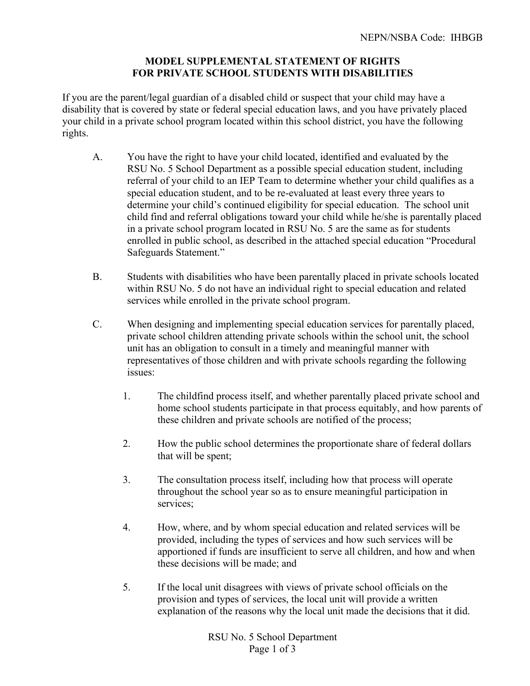## **MODEL SUPPLEMENTAL STATEMENT OF RIGHTS FOR PRIVATE SCHOOL STUDENTS WITH DISABILITIES**

If you are the parent/legal guardian of a disabled child or suspect that your child may have a disability that is covered by state or federal special education laws, and you have privately placed your child in a private school program located within this school district, you have the following rights.

- A. You have the right to have your child located, identified and evaluated by the RSU No. 5 School Department as a possible special education student, including referral of your child to an IEP Team to determine whether your child qualifies as a special education student, and to be re-evaluated at least every three years to determine your child's continued eligibility for special education. The school unit child find and referral obligations toward your child while he/she is parentally placed in a private school program located in RSU No. 5 are the same as for students enrolled in public school, as described in the attached special education "Procedural Safeguards Statement."
- B. Students with disabilities who have been parentally placed in private schools located within RSU No. 5 do not have an individual right to special education and related services while enrolled in the private school program.
- C. When designing and implementing special education services for parentally placed, private school children attending private schools within the school unit, the school unit has an obligation to consult in a timely and meaningful manner with representatives of those children and with private schools regarding the following issues:
	- 1. The childfind process itself, and whether parentally placed private school and home school students participate in that process equitably, and how parents of these children and private schools are notified of the process;
	- 2. How the public school determines the proportionate share of federal dollars that will be spent;
	- 3. The consultation process itself, including how that process will operate throughout the school year so as to ensure meaningful participation in services;
	- 4. How, where, and by whom special education and related services will be provided, including the types of services and how such services will be apportioned if funds are insufficient to serve all children, and how and when these decisions will be made; and
	- 5. If the local unit disagrees with views of private school officials on the provision and types of services, the local unit will provide a written explanation of the reasons why the local unit made the decisions that it did.

RSU No. 5 School Department Page 1 of 3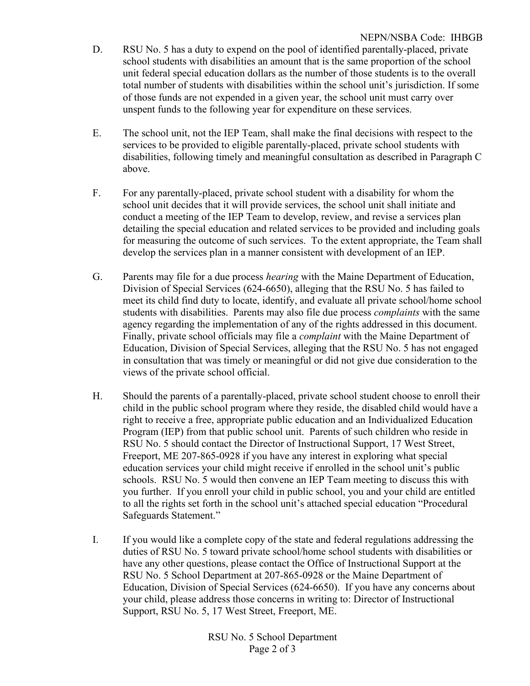- D. RSU No. 5 has a duty to expend on the pool of identified parentally-placed, private school students with disabilities an amount that is the same proportion of the school unit federal special education dollars as the number of those students is to the overall total number of students with disabilities within the school unit's jurisdiction. If some of those funds are not expended in a given year, the school unit must carry over unspent funds to the following year for expenditure on these services.
- E. The school unit, not the IEP Team, shall make the final decisions with respect to the services to be provided to eligible parentally-placed, private school students with disabilities, following timely and meaningful consultation as described in Paragraph C above.
- F. For any parentally-placed, private school student with a disability for whom the school unit decides that it will provide services, the school unit shall initiate and conduct a meeting of the IEP Team to develop, review, and revise a services plan detailing the special education and related services to be provided and including goals for measuring the outcome of such services. To the extent appropriate, the Team shall develop the services plan in a manner consistent with development of an IEP.
- G. Parents may file for a due process *hearing* with the Maine Department of Education, Division of Special Services (624-6650), alleging that the RSU No. 5 has failed to meet its child find duty to locate, identify, and evaluate all private school/home school students with disabilities. Parents may also file due process *complaints* with the same agency regarding the implementation of any of the rights addressed in this document. Finally, private school officials may file a *complaint* with the Maine Department of Education, Division of Special Services, alleging that the RSU No. 5 has not engaged in consultation that was timely or meaningful or did not give due consideration to the views of the private school official.
- H. Should the parents of a parentally-placed, private school student choose to enroll their child in the public school program where they reside, the disabled child would have a right to receive a free, appropriate public education and an Individualized Education Program (IEP) from that public school unit. Parents of such children who reside in RSU No. 5 should contact the Director of Instructional Support, 17 West Street, Freeport, ME 207-865-0928 if you have any interest in exploring what special education services your child might receive if enrolled in the school unit's public schools. RSU No. 5 would then convene an IEP Team meeting to discuss this with you further. If you enroll your child in public school, you and your child are entitled to all the rights set forth in the school unit's attached special education "Procedural Safeguards Statement."
- I. If you would like a complete copy of the state and federal regulations addressing the duties of RSU No. 5 toward private school/home school students with disabilities or have any other questions, please contact the Office of Instructional Support at the RSU No. 5 School Department at 207-865-0928 or the Maine Department of Education, Division of Special Services (624-6650). If you have any concerns about your child, please address those concerns in writing to: Director of Instructional Support, RSU No. 5, 17 West Street, Freeport, ME.

RSU No. 5 School Department Page 2 of 3